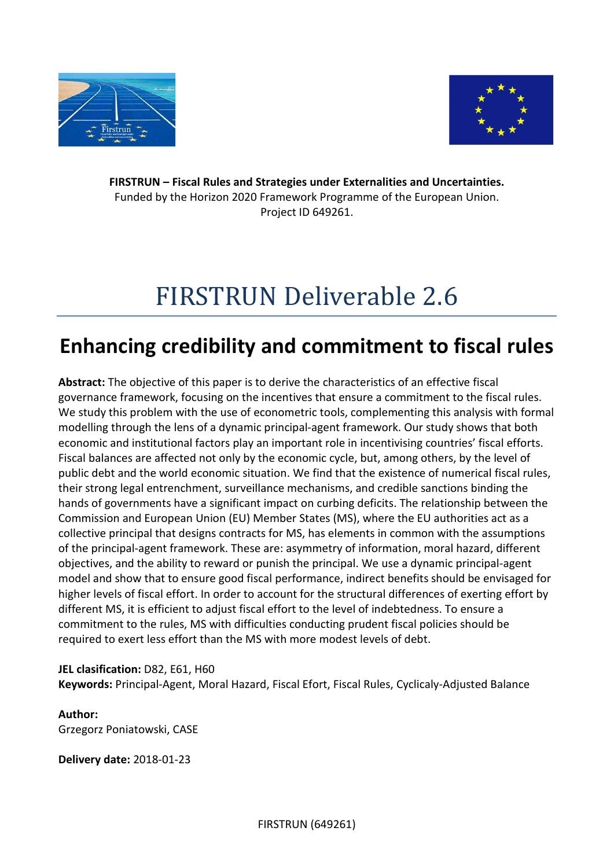



**FIRSTRUN – Fiscal Rules and Strategies under Externalities and Uncertainties.** Funded by the Horizon 2020 Framework Programme of the European Union. Project ID 649261.

# FIRSTRUN Deliverable 2.6

## **Enhancing credibility and commitment to fiscal rules**

**Abstract:** The objective of this paper is to derive the characteristics of an effective fiscal governance framework, focusing on the incentives that ensure a commitment to the fiscal rules. We study this problem with the use of econometric tools, complementing this analysis with formal modelling through the lens of a dynamic principal-agent framework. Our study shows that both economic and institutional factors play an important role in incentivising countries' fiscal efforts. Fiscal balances are affected not only by the economic cycle, but, among others, by the level of public debt and the world economic situation. We find that the existence of numerical fiscal rules, their strong legal entrenchment, surveillance mechanisms, and credible sanctions binding the hands of governments have a significant impact on curbing deficits. The relationship between the Commission and European Union (EU) Member States (MS), where the EU authorities act as a collective principal that designs contracts for MS, has elements in common with the assumptions of the principal-agent framework. These are: asymmetry of information, moral hazard, different objectives, and the ability to reward or punish the principal. We use a dynamic principal-agent model and show that to ensure good fiscal performance, indirect benefits should be envisaged for higher levels of fiscal effort. In order to account for the structural differences of exerting effort by different MS, it is efficient to adjust fiscal effort to the level of indebtedness. To ensure a commitment to the rules, MS with difficulties conducting prudent fiscal policies should be required to exert less effort than the MS with more modest levels of debt.

**JEL clasification:** D82, E61, H60 **Keywords:** Principal-Agent, Moral Hazard, Fiscal Efort, Fiscal Rules, Cyclicaly-Adjusted Balance

## **Author:** Grzegorz Poniatowski, CASE

**Delivery date:** 2018-01-23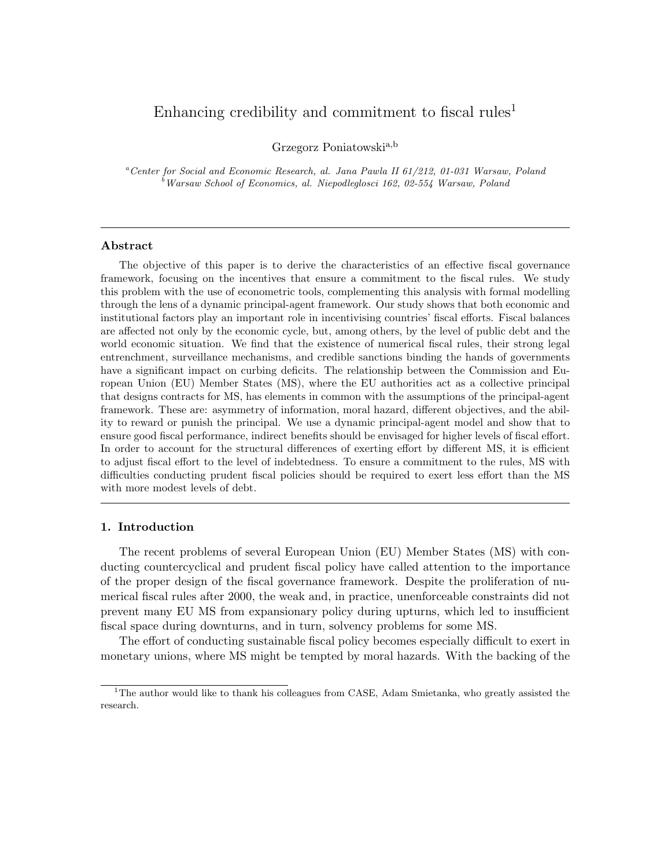### Enhancing credibility and commitment to fiscal rules<sup>1</sup>

Grzegorz Poniatowskia,b

<sup>a</sup>Center for Social and Economic Research, al. Jana Pawla II 61/212, 01-031 Warsaw, Poland  $b$  Warsaw School of Economics, al. Niepodleglosci 162, 02-554 Warsaw, Poland

#### Abstract

The objective of this paper is to derive the characteristics of an effective fiscal governance framework, focusing on the incentives that ensure a commitment to the fiscal rules. We study this problem with the use of econometric tools, complementing this analysis with formal modelling through the lens of a dynamic principal-agent framework. Our study shows that both economic and institutional factors play an important role in incentivising countries' fiscal efforts. Fiscal balances are affected not only by the economic cycle, but, among others, by the level of public debt and the world economic situation. We find that the existence of numerical fiscal rules, their strong legal entrenchment, surveillance mechanisms, and credible sanctions binding the hands of governments have a significant impact on curbing deficits. The relationship between the Commission and European Union (EU) Member States (MS), where the EU authorities act as a collective principal that designs contracts for MS, has elements in common with the assumptions of the principal-agent framework. These are: asymmetry of information, moral hazard, different objectives, and the ability to reward or punish the principal. We use a dynamic principal-agent model and show that to ensure good fiscal performance, indirect benefits should be envisaged for higher levels of fiscal effort. In order to account for the structural differences of exerting effort by different MS, it is efficient to adjust fiscal effort to the level of indebtedness. To ensure a commitment to the rules, MS with difficulties conducting prudent fiscal policies should be required to exert less effort than the MS with more modest levels of debt.

#### 1. Introduction

The recent problems of several European Union (EU) Member States (MS) with conducting countercyclical and prudent fiscal policy have called attention to the importance of the proper design of the fiscal governance framework. Despite the proliferation of numerical fiscal rules after 2000, the weak and, in practice, unenforceable constraints did not prevent many EU MS from expansionary policy during upturns, which led to insufficient fiscal space during downturns, and in turn, solvency problems for some MS.

The effort of conducting sustainable fiscal policy becomes especially difficult to exert in monetary unions, where MS might be tempted by moral hazards. With the backing of the

<sup>&</sup>lt;sup>1</sup>The author would like to thank his colleagues from CASE, Adam Smietanka, who greatly assisted the research.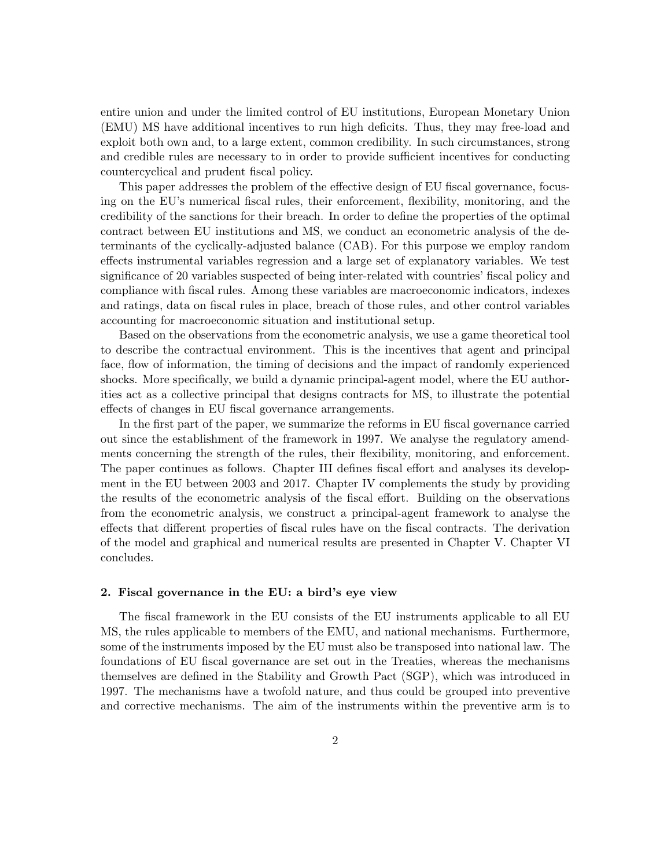entire union and under the limited control of EU institutions, European Monetary Union (EMU) MS have additional incentives to run high deficits. Thus, they may free-load and exploit both own and, to a large extent, common credibility. In such circumstances, strong and credible rules are necessary to in order to provide sufficient incentives for conducting countercyclical and prudent fiscal policy.

This paper addresses the problem of the effective design of EU fiscal governance, focusing on the EU's numerical fiscal rules, their enforcement, flexibility, monitoring, and the credibility of the sanctions for their breach. In order to define the properties of the optimal contract between EU institutions and MS, we conduct an econometric analysis of the determinants of the cyclically-adjusted balance (CAB). For this purpose we employ random effects instrumental variables regression and a large set of explanatory variables. We test significance of 20 variables suspected of being inter-related with countries' fiscal policy and compliance with fiscal rules. Among these variables are macroeconomic indicators, indexes and ratings, data on fiscal rules in place, breach of those rules, and other control variables accounting for macroeconomic situation and institutional setup.

Based on the observations from the econometric analysis, we use a game theoretical tool to describe the contractual environment. This is the incentives that agent and principal face, flow of information, the timing of decisions and the impact of randomly experienced shocks. More specifically, we build a dynamic principal-agent model, where the EU authorities act as a collective principal that designs contracts for MS, to illustrate the potential effects of changes in EU fiscal governance arrangements.

In the first part of the paper, we summarize the reforms in EU fiscal governance carried out since the establishment of the framework in 1997. We analyse the regulatory amendments concerning the strength of the rules, their flexibility, monitoring, and enforcement. The paper continues as follows. Chapter III defines fiscal effort and analyses its development in the EU between 2003 and 2017. Chapter IV complements the study by providing the results of the econometric analysis of the fiscal effort. Building on the observations from the econometric analysis, we construct a principal-agent framework to analyse the effects that different properties of fiscal rules have on the fiscal contracts. The derivation of the model and graphical and numerical results are presented in Chapter V. Chapter VI concludes.

#### 2. Fiscal governance in the EU: a bird's eye view

The fiscal framework in the EU consists of the EU instruments applicable to all EU MS, the rules applicable to members of the EMU, and national mechanisms. Furthermore, some of the instruments imposed by the EU must also be transposed into national law. The foundations of EU fiscal governance are set out in the Treaties, whereas the mechanisms themselves are defined in the Stability and Growth Pact (SGP), which was introduced in 1997. The mechanisms have a twofold nature, and thus could be grouped into preventive and corrective mechanisms. The aim of the instruments within the preventive arm is to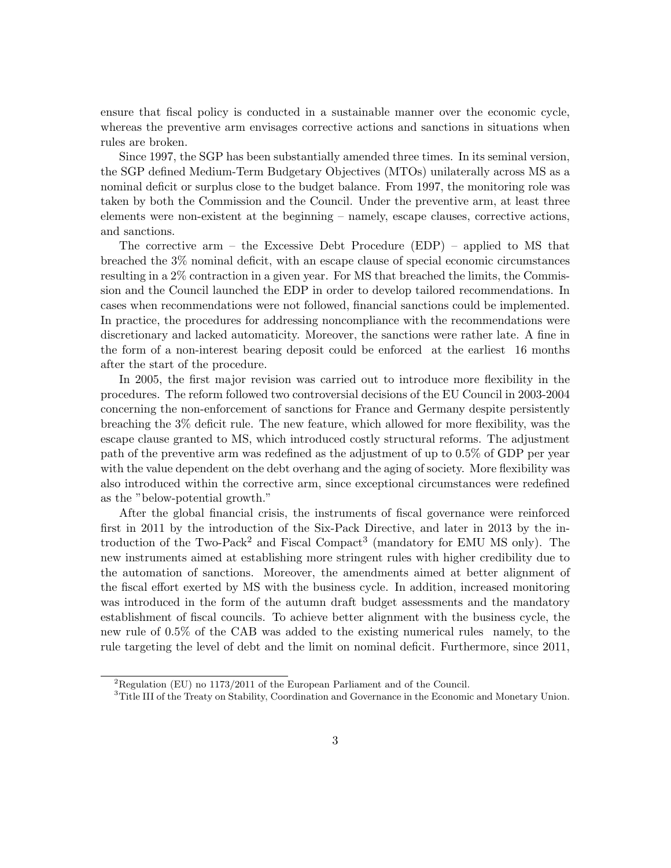ensure that fiscal policy is conducted in a sustainable manner over the economic cycle, whereas the preventive arm envisages corrective actions and sanctions in situations when rules are broken.

Since 1997, the SGP has been substantially amended three times. In its seminal version, the SGP defined Medium-Term Budgetary Objectives (MTOs) unilaterally across MS as a nominal deficit or surplus close to the budget balance. From 1997, the monitoring role was taken by both the Commission and the Council. Under the preventive arm, at least three elements were non-existent at the beginning – namely, escape clauses, corrective actions, and sanctions.

The corrective arm – the Excessive Debt Procedure (EDP) – applied to MS that breached the 3% nominal deficit, with an escape clause of special economic circumstances resulting in a 2% contraction in a given year. For MS that breached the limits, the Commission and the Council launched the EDP in order to develop tailored recommendations. In cases when recommendations were not followed, financial sanctions could be implemented. In practice, the procedures for addressing noncompliance with the recommendations were discretionary and lacked automaticity. Moreover, the sanctions were rather late. A fine in the form of a non-interest bearing deposit could be enforced at the earliest 16 months after the start of the procedure.

In 2005, the first major revision was carried out to introduce more flexibility in the procedures. The reform followed two controversial decisions of the EU Council in 2003-2004 concerning the non-enforcement of sanctions for France and Germany despite persistently breaching the 3% deficit rule. The new feature, which allowed for more flexibility, was the escape clause granted to MS, which introduced costly structural reforms. The adjustment path of the preventive arm was redefined as the adjustment of up to 0.5% of GDP per year with the value dependent on the debt overhang and the aging of society. More flexibility was also introduced within the corrective arm, since exceptional circumstances were redefined as the "below-potential growth."

After the global financial crisis, the instruments of fiscal governance were reinforced first in 2011 by the introduction of the Six-Pack Directive, and later in 2013 by the introduction of the Two-Pack<sup>2</sup> and Fiscal Compact<sup>3</sup> (mandatory for EMU MS only). The new instruments aimed at establishing more stringent rules with higher credibility due to the automation of sanctions. Moreover, the amendments aimed at better alignment of the fiscal effort exerted by MS with the business cycle. In addition, increased monitoring was introduced in the form of the autumn draft budget assessments and the mandatory establishment of fiscal councils. To achieve better alignment with the business cycle, the new rule of 0.5% of the CAB was added to the existing numerical rules namely, to the rule targeting the level of debt and the limit on nominal deficit. Furthermore, since 2011,

 ${}^{2}$ Regulation (EU) no 1173/2011 of the European Parliament and of the Council.

<sup>&</sup>lt;sup>3</sup>Title III of the Treaty on Stability, Coordination and Governance in the Economic and Monetary Union.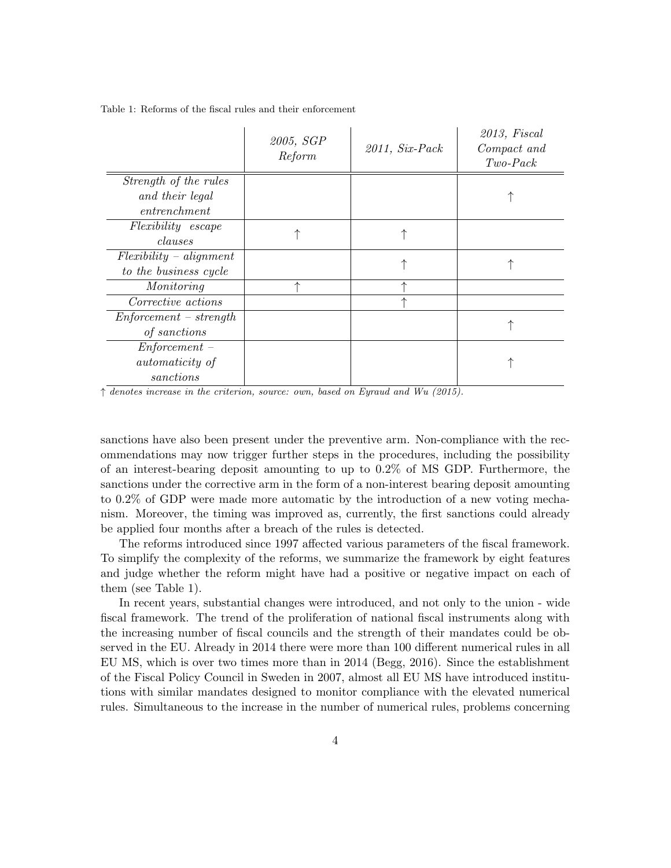|                          | 2005, SGP<br>Reform | $2011, Six-Pack$ | 2013, F is cal<br>Compact and<br>$Two\text{-}Pack$ |
|--------------------------|---------------------|------------------|----------------------------------------------------|
| Strength of the rules    |                     |                  |                                                    |
| and their legal          |                     |                  |                                                    |
| entrenchment             |                     |                  |                                                    |
| Flexibility escape       |                     |                  |                                                    |
| clauses                  |                     |                  |                                                    |
| $Flexibility-alignment$  |                     |                  |                                                    |
| to the business cycle    |                     |                  |                                                    |
| Monitoring               |                     |                  |                                                    |
| Corrective actions       |                     | ⋏                |                                                    |
| $Enforcement - strength$ |                     |                  |                                                    |
| of sanctions             |                     |                  |                                                    |
| $Enforcement -$          |                     |                  |                                                    |
| <i>automaticity</i> of   |                     |                  |                                                    |
| sanctions                |                     |                  |                                                    |

Table 1: Reforms of the fiscal rules and their enforcement

↑ denotes increase in the criterion, source: own, based on Eyraud and Wu (2015).

sanctions have also been present under the preventive arm. Non-compliance with the recommendations may now trigger further steps in the procedures, including the possibility of an interest-bearing deposit amounting to up to 0.2% of MS GDP. Furthermore, the sanctions under the corrective arm in the form of a non-interest bearing deposit amounting to 0.2% of GDP were made more automatic by the introduction of a new voting mechanism. Moreover, the timing was improved as, currently, the first sanctions could already be applied four months after a breach of the rules is detected.

The reforms introduced since 1997 affected various parameters of the fiscal framework. To simplify the complexity of the reforms, we summarize the framework by eight features and judge whether the reform might have had a positive or negative impact on each of them (see Table 1).

In recent years, substantial changes were introduced, and not only to the union - wide fiscal framework. The trend of the proliferation of national fiscal instruments along with the increasing number of fiscal councils and the strength of their mandates could be observed in the EU. Already in 2014 there were more than 100 different numerical rules in all EU MS, which is over two times more than in 2014 (Begg, 2016). Since the establishment of the Fiscal Policy Council in Sweden in 2007, almost all EU MS have introduced institutions with similar mandates designed to monitor compliance with the elevated numerical rules. Simultaneous to the increase in the number of numerical rules, problems concerning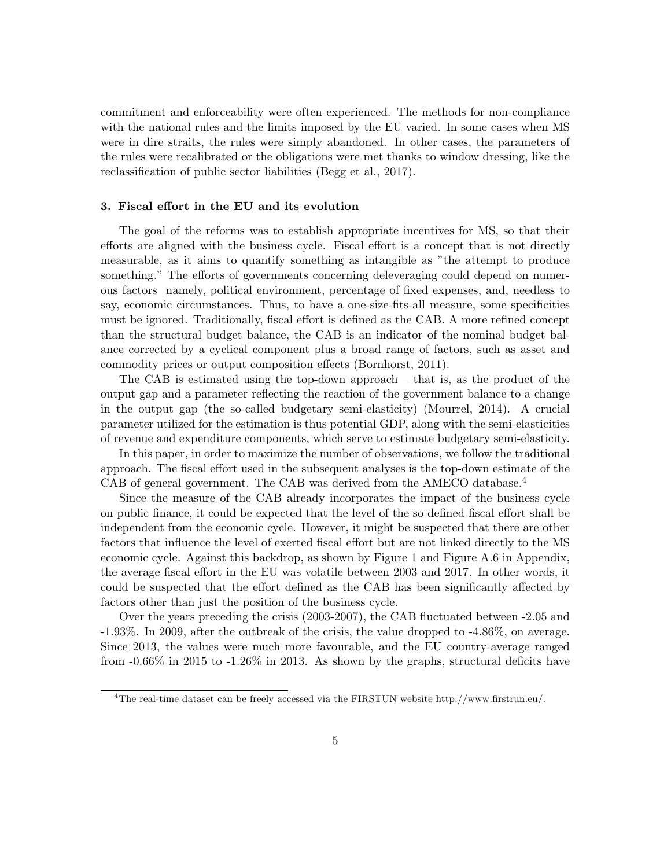commitment and enforceability were often experienced. The methods for non-compliance with the national rules and the limits imposed by the EU varied. In some cases when MS were in dire straits, the rules were simply abandoned. In other cases, the parameters of the rules were recalibrated or the obligations were met thanks to window dressing, like the reclassification of public sector liabilities (Begg et al., 2017).

#### 3. Fiscal effort in the EU and its evolution

The goal of the reforms was to establish appropriate incentives for MS, so that their efforts are aligned with the business cycle. Fiscal effort is a concept that is not directly measurable, as it aims to quantify something as intangible as "the attempt to produce something." The efforts of governments concerning deleveraging could depend on numerous factors namely, political environment, percentage of fixed expenses, and, needless to say, economic circumstances. Thus, to have a one-size-fits-all measure, some specificities must be ignored. Traditionally, fiscal effort is defined as the CAB. A more refined concept than the structural budget balance, the CAB is an indicator of the nominal budget balance corrected by a cyclical component plus a broad range of factors, such as asset and commodity prices or output composition effects (Bornhorst, 2011).

The CAB is estimated using the top-down approach – that is, as the product of the output gap and a parameter reflecting the reaction of the government balance to a change in the output gap (the so-called budgetary semi-elasticity) (Mourrel, 2014). A crucial parameter utilized for the estimation is thus potential GDP, along with the semi-elasticities of revenue and expenditure components, which serve to estimate budgetary semi-elasticity.

In this paper, in order to maximize the number of observations, we follow the traditional approach. The fiscal effort used in the subsequent analyses is the top-down estimate of the CAB of general government. The CAB was derived from the AMECO database.<sup>4</sup>

Since the measure of the CAB already incorporates the impact of the business cycle on public finance, it could be expected that the level of the so defined fiscal effort shall be independent from the economic cycle. However, it might be suspected that there are other factors that influence the level of exerted fiscal effort but are not linked directly to the MS economic cycle. Against this backdrop, as shown by Figure 1 and Figure A.6 in Appendix, the average fiscal effort in the EU was volatile between 2003 and 2017. In other words, it could be suspected that the effort defined as the CAB has been significantly affected by factors other than just the position of the business cycle.

Over the years preceding the crisis (2003-2007), the CAB fluctuated between -2.05 and -1.93%. In 2009, after the outbreak of the crisis, the value dropped to -4.86%, on average. Since 2013, the values were much more favourable, and the EU country-average ranged from  $-0.66\%$  in 2015 to  $-1.26\%$  in 2013. As shown by the graphs, structural deficits have

<sup>4</sup>The real-time dataset can be freely accessed via the FIRSTUN website http://www.firstrun.eu/.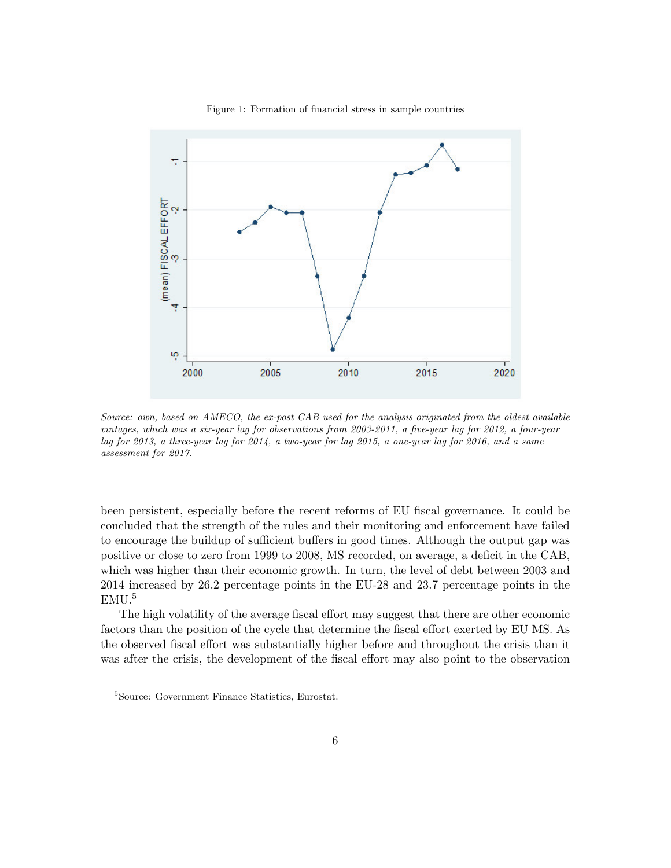

Figure 1: Formation of financial stress in sample countries

Source: own, based on AMECO, the ex-post CAB used for the analysis originated from the oldest available vintages, which was a six-year lag for observations from 2003-2011, a five-year lag for 2012, a four-year lag for 2013, a three-year lag for 2014, a two-year for lag 2015, a one-year lag for 2016, and a same assessment for 2017.

been persistent, especially before the recent reforms of EU fiscal governance. It could be concluded that the strength of the rules and their monitoring and enforcement have failed to encourage the buildup of sufficient buffers in good times. Although the output gap was positive or close to zero from 1999 to 2008, MS recorded, on average, a deficit in the CAB, which was higher than their economic growth. In turn, the level of debt between 2003 and 2014 increased by 26.2 percentage points in the EU-28 and 23.7 percentage points in the EMU.<sup>5</sup>

The high volatility of the average fiscal effort may suggest that there are other economic factors than the position of the cycle that determine the fiscal effort exerted by EU MS. As the observed fiscal effort was substantially higher before and throughout the crisis than it was after the crisis, the development of the fiscal effort may also point to the observation

<sup>5</sup>Source: Government Finance Statistics, Eurostat.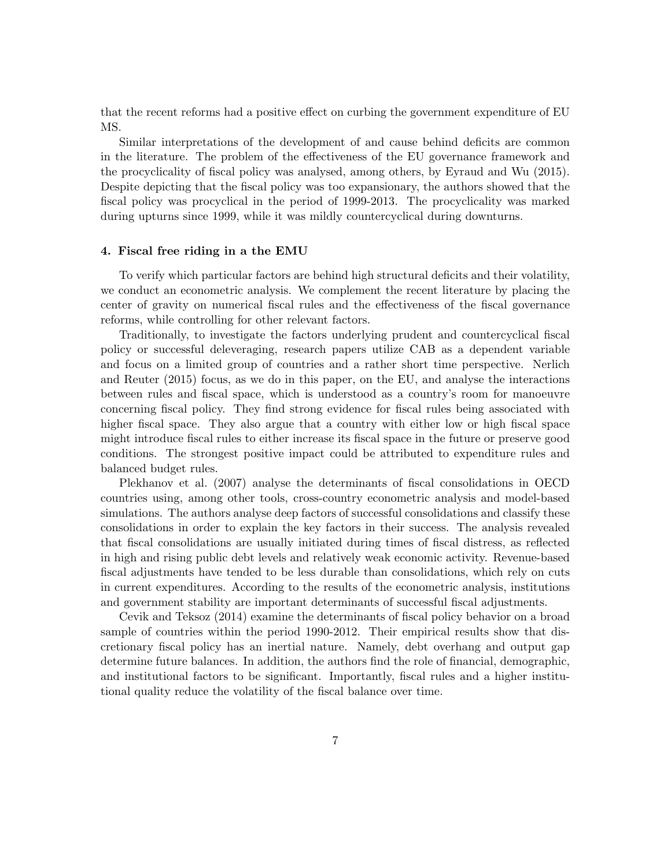that the recent reforms had a positive effect on curbing the government expenditure of EU MS.

Similar interpretations of the development of and cause behind deficits are common in the literature. The problem of the effectiveness of the EU governance framework and the procyclicality of fiscal policy was analysed, among others, by Eyraud and Wu (2015). Despite depicting that the fiscal policy was too expansionary, the authors showed that the fiscal policy was procyclical in the period of 1999-2013. The procyclicality was marked during upturns since 1999, while it was mildly countercyclical during downturns.

#### 4. Fiscal free riding in a the EMU

To verify which particular factors are behind high structural deficits and their volatility, we conduct an econometric analysis. We complement the recent literature by placing the center of gravity on numerical fiscal rules and the effectiveness of the fiscal governance reforms, while controlling for other relevant factors.

Traditionally, to investigate the factors underlying prudent and countercyclical fiscal policy or successful deleveraging, research papers utilize CAB as a dependent variable and focus on a limited group of countries and a rather short time perspective. Nerlich and Reuter (2015) focus, as we do in this paper, on the EU, and analyse the interactions between rules and fiscal space, which is understood as a country's room for manoeuvre concerning fiscal policy. They find strong evidence for fiscal rules being associated with higher fiscal space. They also argue that a country with either low or high fiscal space might introduce fiscal rules to either increase its fiscal space in the future or preserve good conditions. The strongest positive impact could be attributed to expenditure rules and balanced budget rules.

Plekhanov et al. (2007) analyse the determinants of fiscal consolidations in OECD countries using, among other tools, cross-country econometric analysis and model-based simulations. The authors analyse deep factors of successful consolidations and classify these consolidations in order to explain the key factors in their success. The analysis revealed that fiscal consolidations are usually initiated during times of fiscal distress, as reflected in high and rising public debt levels and relatively weak economic activity. Revenue-based fiscal adjustments have tended to be less durable than consolidations, which rely on cuts in current expenditures. According to the results of the econometric analysis, institutions and government stability are important determinants of successful fiscal adjustments.

Cevik and Teksoz (2014) examine the determinants of fiscal policy behavior on a broad sample of countries within the period 1990-2012. Their empirical results show that discretionary fiscal policy has an inertial nature. Namely, debt overhang and output gap determine future balances. In addition, the authors find the role of financial, demographic, and institutional factors to be significant. Importantly, fiscal rules and a higher institutional quality reduce the volatility of the fiscal balance over time.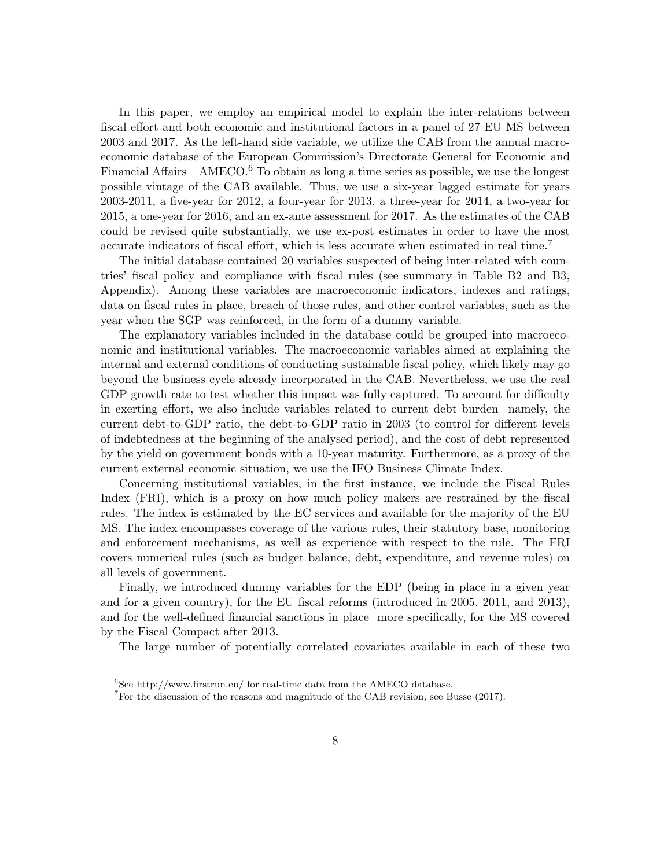In this paper, we employ an empirical model to explain the inter-relations between fiscal effort and both economic and institutional factors in a panel of 27 EU MS between 2003 and 2017. As the left-hand side variable, we utilize the CAB from the annual macroeconomic database of the European Commission's Directorate General for Economic and Financial Affairs – AMECO.<sup>6</sup> To obtain as long a time series as possible, we use the longest possible vintage of the CAB available. Thus, we use a six-year lagged estimate for years 2003-2011, a five-year for 2012, a four-year for 2013, a three-year for 2014, a two-year for 2015, a one-year for 2016, and an ex-ante assessment for 2017. As the estimates of the CAB could be revised quite substantially, we use ex-post estimates in order to have the most accurate indicators of fiscal effort, which is less accurate when estimated in real time.<sup>7</sup>

The initial database contained 20 variables suspected of being inter-related with countries' fiscal policy and compliance with fiscal rules (see summary in Table B2 and B3, Appendix). Among these variables are macroeconomic indicators, indexes and ratings, data on fiscal rules in place, breach of those rules, and other control variables, such as the year when the SGP was reinforced, in the form of a dummy variable.

The explanatory variables included in the database could be grouped into macroeconomic and institutional variables. The macroeconomic variables aimed at explaining the internal and external conditions of conducting sustainable fiscal policy, which likely may go beyond the business cycle already incorporated in the CAB. Nevertheless, we use the real GDP growth rate to test whether this impact was fully captured. To account for difficulty in exerting effort, we also include variables related to current debt burden namely, the current debt-to-GDP ratio, the debt-to-GDP ratio in 2003 (to control for different levels of indebtedness at the beginning of the analysed period), and the cost of debt represented by the yield on government bonds with a 10-year maturity. Furthermore, as a proxy of the current external economic situation, we use the IFO Business Climate Index.

Concerning institutional variables, in the first instance, we include the Fiscal Rules Index (FRI), which is a proxy on how much policy makers are restrained by the fiscal rules. The index is estimated by the EC services and available for the majority of the EU MS. The index encompasses coverage of the various rules, their statutory base, monitoring and enforcement mechanisms, as well as experience with respect to the rule. The FRI covers numerical rules (such as budget balance, debt, expenditure, and revenue rules) on all levels of government.

Finally, we introduced dummy variables for the EDP (being in place in a given year and for a given country), for the EU fiscal reforms (introduced in 2005, 2011, and 2013), and for the well-defined financial sanctions in place more specifically, for the MS covered by the Fiscal Compact after 2013.

The large number of potentially correlated covariates available in each of these two

 ${}^{6}$ See http://www.firstrun.eu/ for real-time data from the AMECO database.

<sup>&</sup>lt;sup>7</sup>For the discussion of the reasons and magnitude of the CAB revision, see Busse (2017).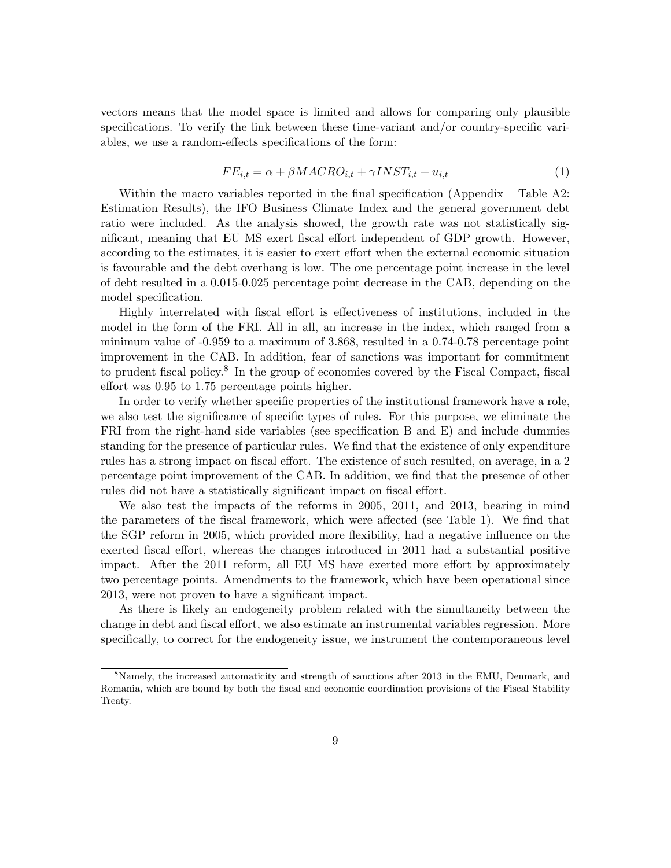vectors means that the model space is limited and allows for comparing only plausible specifications. To verify the link between these time-variant and/or country-specific variables, we use a random-effects specifications of the form:

$$
FE_{i,t} = \alpha + \beta MACRO_{i,t} + \gamma INST_{i,t} + u_{i,t}
$$
\n<sup>(1)</sup>

Within the macro variables reported in the final specification (Appendix – Table A2: Estimation Results), the IFO Business Climate Index and the general government debt ratio were included. As the analysis showed, the growth rate was not statistically significant, meaning that EU MS exert fiscal effort independent of GDP growth. However, according to the estimates, it is easier to exert effort when the external economic situation is favourable and the debt overhang is low. The one percentage point increase in the level of debt resulted in a 0.015-0.025 percentage point decrease in the CAB, depending on the model specification.

Highly interrelated with fiscal effort is effectiveness of institutions, included in the model in the form of the FRI. All in all, an increase in the index, which ranged from a minimum value of -0.959 to a maximum of 3.868, resulted in a 0.74-0.78 percentage point improvement in the CAB. In addition, fear of sanctions was important for commitment to prudent fiscal policy.<sup>8</sup> In the group of economies covered by the Fiscal Compact, fiscal effort was 0.95 to 1.75 percentage points higher.

In order to verify whether specific properties of the institutional framework have a role, we also test the significance of specific types of rules. For this purpose, we eliminate the FRI from the right-hand side variables (see specification B and E) and include dummies standing for the presence of particular rules. We find that the existence of only expenditure rules has a strong impact on fiscal effort. The existence of such resulted, on average, in a 2 percentage point improvement of the CAB. In addition, we find that the presence of other rules did not have a statistically significant impact on fiscal effort.

We also test the impacts of the reforms in 2005, 2011, and 2013, bearing in mind the parameters of the fiscal framework, which were affected (see Table 1). We find that the SGP reform in 2005, which provided more flexibility, had a negative influence on the exerted fiscal effort, whereas the changes introduced in 2011 had a substantial positive impact. After the 2011 reform, all EU MS have exerted more effort by approximately two percentage points. Amendments to the framework, which have been operational since 2013, were not proven to have a significant impact.

As there is likely an endogeneity problem related with the simultaneity between the change in debt and fiscal effort, we also estimate an instrumental variables regression. More specifically, to correct for the endogeneity issue, we instrument the contemporaneous level

<sup>&</sup>lt;sup>8</sup>Namely, the increased automaticity and strength of sanctions after 2013 in the EMU, Denmark, and Romania, which are bound by both the fiscal and economic coordination provisions of the Fiscal Stability Treaty.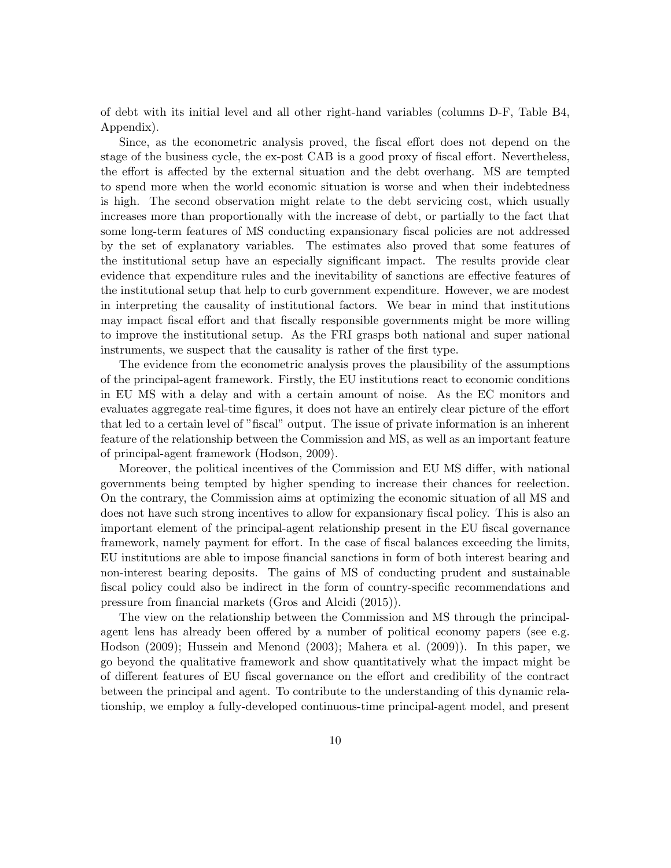of debt with its initial level and all other right-hand variables (columns D-F, Table B4, Appendix).

Since, as the econometric analysis proved, the fiscal effort does not depend on the stage of the business cycle, the ex-post CAB is a good proxy of fiscal effort. Nevertheless, the effort is affected by the external situation and the debt overhang. MS are tempted to spend more when the world economic situation is worse and when their indebtedness is high. The second observation might relate to the debt servicing cost, which usually increases more than proportionally with the increase of debt, or partially to the fact that some long-term features of MS conducting expansionary fiscal policies are not addressed by the set of explanatory variables. The estimates also proved that some features of the institutional setup have an especially significant impact. The results provide clear evidence that expenditure rules and the inevitability of sanctions are effective features of the institutional setup that help to curb government expenditure. However, we are modest in interpreting the causality of institutional factors. We bear in mind that institutions may impact fiscal effort and that fiscally responsible governments might be more willing to improve the institutional setup. As the FRI grasps both national and super national instruments, we suspect that the causality is rather of the first type.

The evidence from the econometric analysis proves the plausibility of the assumptions of the principal-agent framework. Firstly, the EU institutions react to economic conditions in EU MS with a delay and with a certain amount of noise. As the EC monitors and evaluates aggregate real-time figures, it does not have an entirely clear picture of the effort that led to a certain level of "fiscal" output. The issue of private information is an inherent feature of the relationship between the Commission and MS, as well as an important feature of principal-agent framework (Hodson, 2009).

Moreover, the political incentives of the Commission and EU MS differ, with national governments being tempted by higher spending to increase their chances for reelection. On the contrary, the Commission aims at optimizing the economic situation of all MS and does not have such strong incentives to allow for expansionary fiscal policy. This is also an important element of the principal-agent relationship present in the EU fiscal governance framework, namely payment for effort. In the case of fiscal balances exceeding the limits, EU institutions are able to impose financial sanctions in form of both interest bearing and non-interest bearing deposits. The gains of MS of conducting prudent and sustainable fiscal policy could also be indirect in the form of country-specific recommendations and pressure from financial markets (Gros and Alcidi (2015)).

The view on the relationship between the Commission and MS through the principalagent lens has already been offered by a number of political economy papers (see e.g. Hodson (2009); Hussein and Menond (2003); Mahera et al. (2009)). In this paper, we go beyond the qualitative framework and show quantitatively what the impact might be of different features of EU fiscal governance on the effort and credibility of the contract between the principal and agent. To contribute to the understanding of this dynamic relationship, we employ a fully-developed continuous-time principal-agent model, and present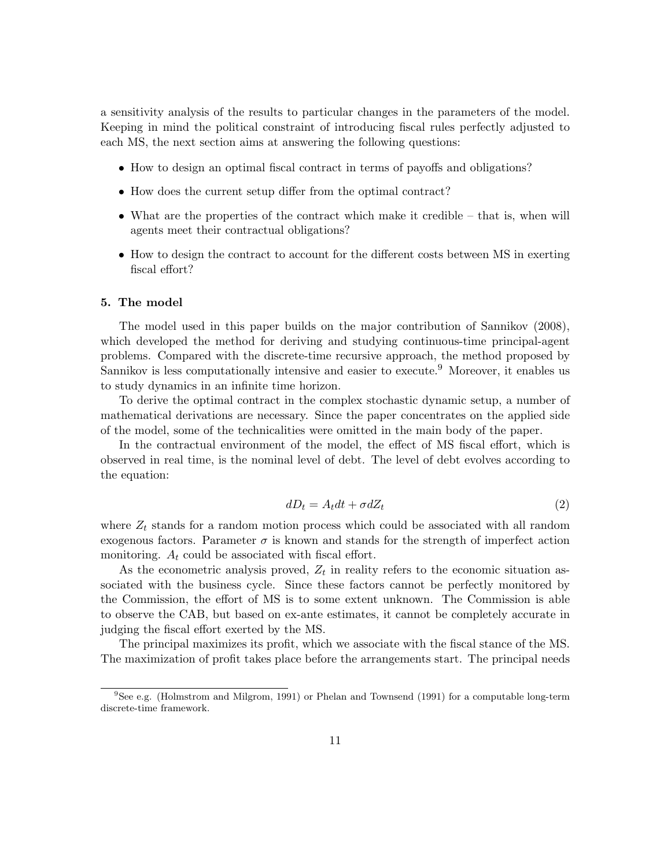a sensitivity analysis of the results to particular changes in the parameters of the model. Keeping in mind the political constraint of introducing fiscal rules perfectly adjusted to each MS, the next section aims at answering the following questions:

- How to design an optimal fiscal contract in terms of payoffs and obligations?
- How does the current setup differ from the optimal contract?
- What are the properties of the contract which make it credible that is, when will agents meet their contractual obligations?
- How to design the contract to account for the different costs between MS in exerting fiscal effort?

#### 5. The model

The model used in this paper builds on the major contribution of Sannikov (2008), which developed the method for deriving and studying continuous-time principal-agent problems. Compared with the discrete-time recursive approach, the method proposed by Sannikov is less computationally intensive and easier to execute.<sup>9</sup> Moreover, it enables us to study dynamics in an infinite time horizon.

To derive the optimal contract in the complex stochastic dynamic setup, a number of mathematical derivations are necessary. Since the paper concentrates on the applied side of the model, some of the technicalities were omitted in the main body of the paper.

In the contractual environment of the model, the effect of MS fiscal effort, which is observed in real time, is the nominal level of debt. The level of debt evolves according to the equation:

$$
dD_t = A_t dt + \sigma dZ_t \tag{2}
$$

where  $Z_t$  stands for a random motion process which could be associated with all random exogenous factors. Parameter  $\sigma$  is known and stands for the strength of imperfect action monitoring.  $A_t$  could be associated with fiscal effort.

As the econometric analysis proved,  $Z_t$  in reality refers to the economic situation associated with the business cycle. Since these factors cannot be perfectly monitored by the Commission, the effort of MS is to some extent unknown. The Commission is able to observe the CAB, but based on ex-ante estimates, it cannot be completely accurate in judging the fiscal effort exerted by the MS.

The principal maximizes its profit, which we associate with the fiscal stance of the MS. The maximization of profit takes place before the arrangements start. The principal needs

<sup>&</sup>lt;sup>9</sup>See e.g. (Holmstrom and Milgrom, 1991) or Phelan and Townsend (1991) for a computable long-term discrete-time framework.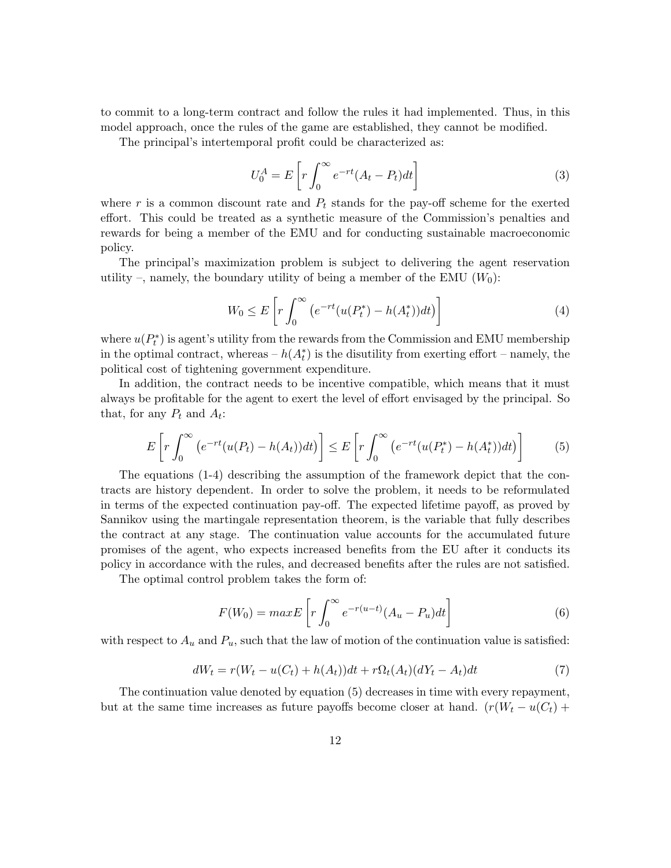to commit to a long-term contract and follow the rules it had implemented. Thus, in this model approach, once the rules of the game are established, they cannot be modified.

The principal's intertemporal profit could be characterized as:

$$
U_0^A = E\left[r\int_0^\infty e^{-rt}(A_t - P_t)dt\right]
$$
\n(3)

where r is a common discount rate and  $P_t$  stands for the pay-off scheme for the exerted effort. This could be treated as a synthetic measure of the Commission's penalties and rewards for being a member of the EMU and for conducting sustainable macroeconomic policy.

The principal's maximization problem is subject to delivering the agent reservation utility –, namely, the boundary utility of being a member of the EMU  $(W_0)$ :

$$
W_0 \le E\left[r\int_0^\infty \left(e^{-rt}(u(P_t^*) - h(A_t^*))dt\right)\right]
$$
\n(4)

where  $u(P_t^*$  $(t<sup>*</sup>)$  is agent's utility from the rewards from the Commission and EMU membership in the optimal contract, whereas –  $h(A_t^*)$  is the disutility from exerting effort – namely, the political cost of tightening government expenditure.

In addition, the contract needs to be incentive compatible, which means that it must always be profitable for the agent to exert the level of effort envisaged by the principal. So that, for any  $P_t$  and  $A_t$ :

$$
E\left[r\int_0^\infty \left(e^{-rt}(u(P_t) - h(A_t))dt\right)\right] \le E\left[r\int_0^\infty \left(e^{-rt}(u(P_t^*) - h(A_t^*))dt\right)\right] \tag{5}
$$

The equations (1-4) describing the assumption of the framework depict that the contracts are history dependent. In order to solve the problem, it needs to be reformulated in terms of the expected continuation pay-off. The expected lifetime payoff, as proved by Sannikov using the martingale representation theorem, is the variable that fully describes the contract at any stage. The continuation value accounts for the accumulated future promises of the agent, who expects increased benefits from the EU after it conducts its policy in accordance with the rules, and decreased benefits after the rules are not satisfied.

The optimal control problem takes the form of:

$$
F(W_0) = max E \left[ r \int_0^\infty e^{-r(u-t)} (A_u - P_u) dt \right]
$$
 (6)

with respect to  $A_u$  and  $P_u$ , such that the law of motion of the continuation value is satisfied:

$$
dW_t = r(W_t - u(C_t) + h(A_t))dt + r\Omega_t(A_t)(dY_t - A_t)dt
$$
\n<sup>(7)</sup>

The continuation value denoted by equation (5) decreases in time with every repayment, but at the same time increases as future payoffs become closer at hand.  $(r(W_t - u(C_t) +$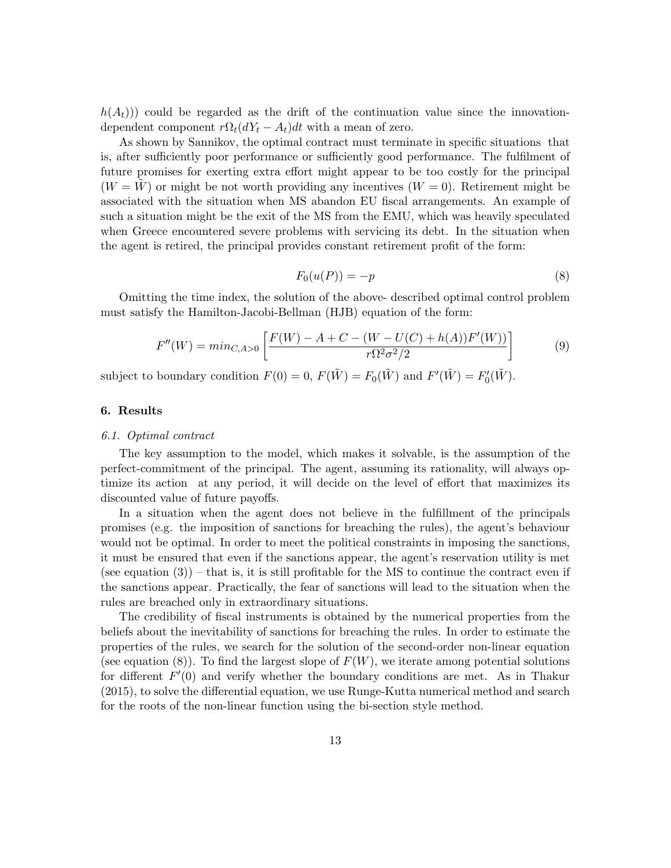$h(A_t)$ ) could be regarded as the drift of the continuation value since the innovationdependent component  $r\Omega_t(dY_t - A_t)dt$  with a mean of zero.

As shown by Sannikov, the optimal contract must terminate in specific situations that is, after sufficiently poor performance or sufficiently good performance. The fulfilment of future promises for exerting extra effort might appear to be too costly for the principal  $(W = W)$  or might be not worth providing any incentives  $(W = 0)$ . Retirement might be associated with the situation when MS abandon EU fiscal arrangements. An example of such a situation might be the exit of the MS from the EMU, which was heavily speculated when Greece encountered severe problems with servicing its debt. In the situation when the agent is retired, the principal provides constant retirement profit of the form:

$$
F_0(u(P)) = -p \tag{8}
$$

Omitting the time index, the solution of the above- described optimal control problem must satisfy the Hamilton-Jacobi-Bellman (HJB) equation of the form:

$$
F''(W) = min_{C, A>0} \left[ \frac{F(W) - A + C - (W - U(C) + h(A))F'(W))}{r\Omega^2 \sigma^2/2} \right]
$$
(9)

subject to boundary condition  $F(0) = 0$ ,  $F(\tilde{W}) = F_0(\tilde{W})$  and  $F'(\tilde{W}) = F'_0$  $C_0(\tilde{W})$ .

#### 6. Results

#### 6.1. Optimal contract

The key assumption to the model, which makes it solvable, is the assumption of the perfect-commitment of the principal. The agent, assuming its rationality, will always optimize its action at any period, it will decide on the level of effort that maximizes its discounted value of future payoffs.

In a situation when the agent does not believe in the fulfillment of the principals promises (e.g. the imposition of sanctions for breaching the rules), the agent's behaviour would not be optimal. In order to meet the political constraints in imposing the sanctions, it must be ensured that even if the sanctions appear, the agent's reservation utility is met (see equation  $(3)$ ) – that is, it is still profitable for the MS to continue the contract even if the sanctions appear. Practically, the fear of sanctions will lead to the situation when the rules are breached only in extraordinary situations.

The credibility of fiscal instruments is obtained by the numerical properties from the beliefs about the inevitability of sanctions for breaching the rules. In order to estimate the properties of the rules, we search for the solution of the second-order non-linear equation (see equation (8)). To find the largest slope of  $F(W)$ , we iterate among potential solutions for different  $F'(0)$  and verify whether the boundary conditions are met. As in Thakur (2015), to solve the differential equation, we use Runge-Kutta numerical method and search for the roots of the non-linear function using the bi-section style method.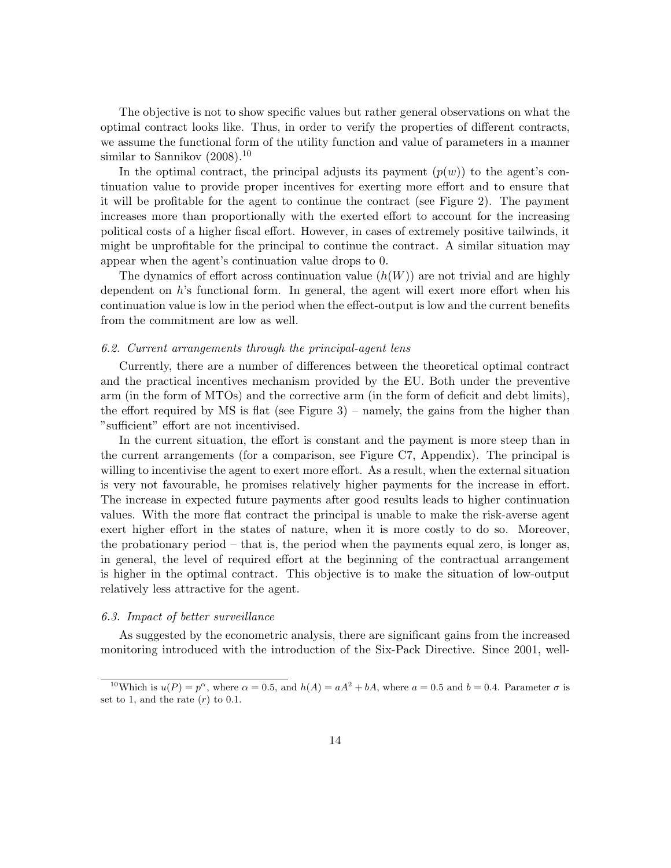The objective is not to show specific values but rather general observations on what the optimal contract looks like. Thus, in order to verify the properties of different contracts, we assume the functional form of the utility function and value of parameters in a manner similar to Sannikov  $(2008).^{10}$ 

In the optimal contract, the principal adjusts its payment  $(p(w))$  to the agent's continuation value to provide proper incentives for exerting more effort and to ensure that it will be profitable for the agent to continue the contract (see Figure 2). The payment increases more than proportionally with the exerted effort to account for the increasing political costs of a higher fiscal effort. However, in cases of extremely positive tailwinds, it might be unprofitable for the principal to continue the contract. A similar situation may appear when the agent's continuation value drops to 0.

The dynamics of effort across continuation value  $(h(W))$  are not trivial and are highly dependent on h's functional form. In general, the agent will exert more effort when his continuation value is low in the period when the effect-output is low and the current benefits from the commitment are low as well.

#### 6.2. Current arrangements through the principal-agent lens

Currently, there are a number of differences between the theoretical optimal contract and the practical incentives mechanism provided by the EU. Both under the preventive arm (in the form of MTOs) and the corrective arm (in the form of deficit and debt limits), the effort required by MS is flat (see Figure  $3$ ) – namely, the gains from the higher than "sufficient" effort are not incentivised.

In the current situation, the effort is constant and the payment is more steep than in the current arrangements (for a comparison, see Figure C7, Appendix). The principal is willing to incentivise the agent to exert more effort. As a result, when the external situation is very not favourable, he promises relatively higher payments for the increase in effort. The increase in expected future payments after good results leads to higher continuation values. With the more flat contract the principal is unable to make the risk-averse agent exert higher effort in the states of nature, when it is more costly to do so. Moreover, the probationary period – that is, the period when the payments equal zero, is longer as, in general, the level of required effort at the beginning of the contractual arrangement is higher in the optimal contract. This objective is to make the situation of low-output relatively less attractive for the agent.

#### 6.3. Impact of better surveillance

As suggested by the econometric analysis, there are significant gains from the increased monitoring introduced with the introduction of the Six-Pack Directive. Since 2001, well-

<sup>&</sup>lt;sup>10</sup>Which is  $u(P) = p^{\alpha}$ , where  $\alpha = 0.5$ , and  $h(A) = aA^2 + bA$ , where  $a = 0.5$  and  $b = 0.4$ . Parameter  $\sigma$  is set to 1, and the rate  $(r)$  to 0.1.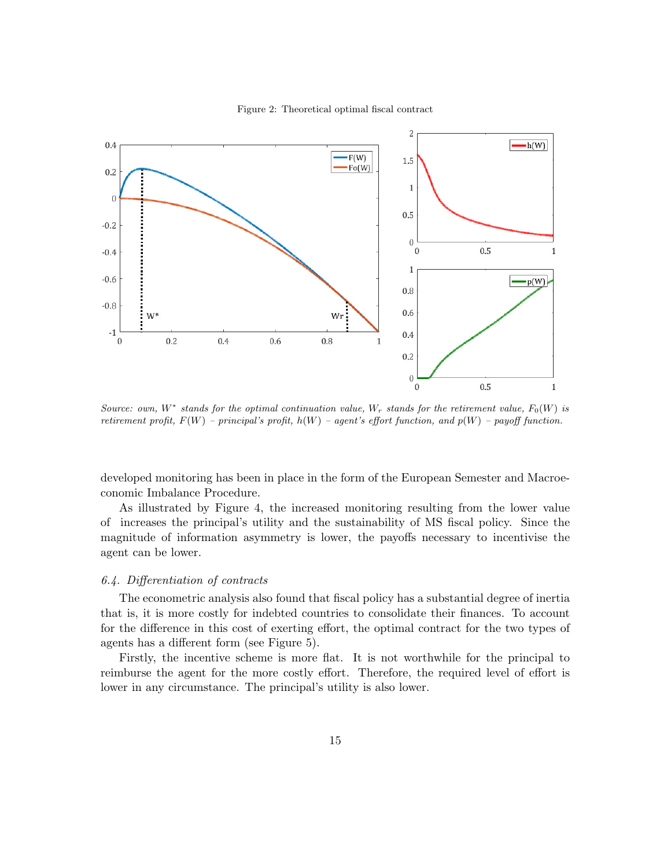

Figure 2: Theoretical optimal fiscal contract

Source: own,  $W^*$  stands for the optimal continuation value,  $W_r$  stands for the retirement value,  $F_0(W)$  is retirement profit,  $F(W)$  – principal's profit,  $h(W)$  – agent's effort function, and  $p(W)$  – payoff function.

developed monitoring has been in place in the form of the European Semester and Macroeconomic Imbalance Procedure.

As illustrated by Figure 4, the increased monitoring resulting from the lower value of increases the principal's utility and the sustainability of MS fiscal policy. Since the magnitude of information asymmetry is lower, the payoffs necessary to incentivise the agent can be lower.

#### 6.4. Differentiation of contracts

The econometric analysis also found that fiscal policy has a substantial degree of inertia that is, it is more costly for indebted countries to consolidate their finances. To account for the difference in this cost of exerting effort, the optimal contract for the two types of agents has a different form (see Figure 5).

Firstly, the incentive scheme is more flat. It is not worthwhile for the principal to reimburse the agent for the more costly effort. Therefore, the required level of effort is lower in any circumstance. The principal's utility is also lower.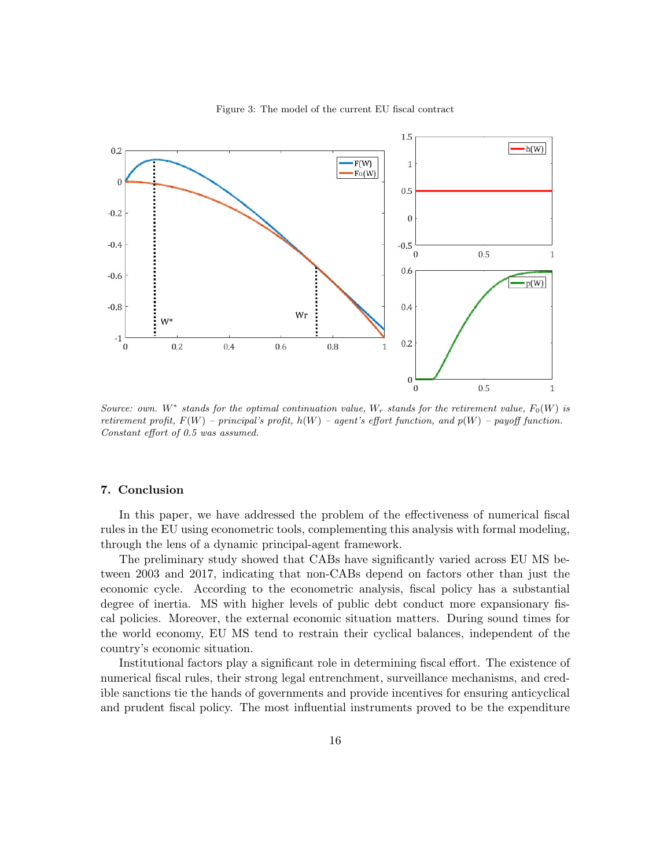

Figure 3: The model of the current EU fiscal contract

Source: own. W<sup>\*</sup> stands for the optimal continuation value,  $W_r$  stands for the retirement value,  $F_0(W)$  is retirement profit,  $F(W)$  – principal's profit,  $h(W)$  – agent's effort function, and  $p(W)$  – payoff function. Constant effort of 0.5 was assumed.

#### 7. Conclusion

In this paper, we have addressed the problem of the effectiveness of numerical fiscal rules in the EU using econometric tools, complementing this analysis with formal modeling, through the lens of a dynamic principal-agent framework.

The preliminary study showed that CABs have significantly varied across EU MS between 2003 and 2017, indicating that non-CABs depend on factors other than just the economic cycle. According to the econometric analysis, fiscal policy has a substantial degree of inertia. MS with higher levels of public debt conduct more expansionary fiscal policies. Moreover, the external economic situation matters. During sound times for the world economy, EU MS tend to restrain their cyclical balances, independent of the country's economic situation.

Institutional factors play a significant role in determining fiscal effort. The existence of numerical fiscal rules, their strong legal entrenchment, surveillance mechanisms, and credible sanctions tie the hands of governments and provide incentives for ensuring anticyclical and prudent fiscal policy. The most influential instruments proved to be the expenditure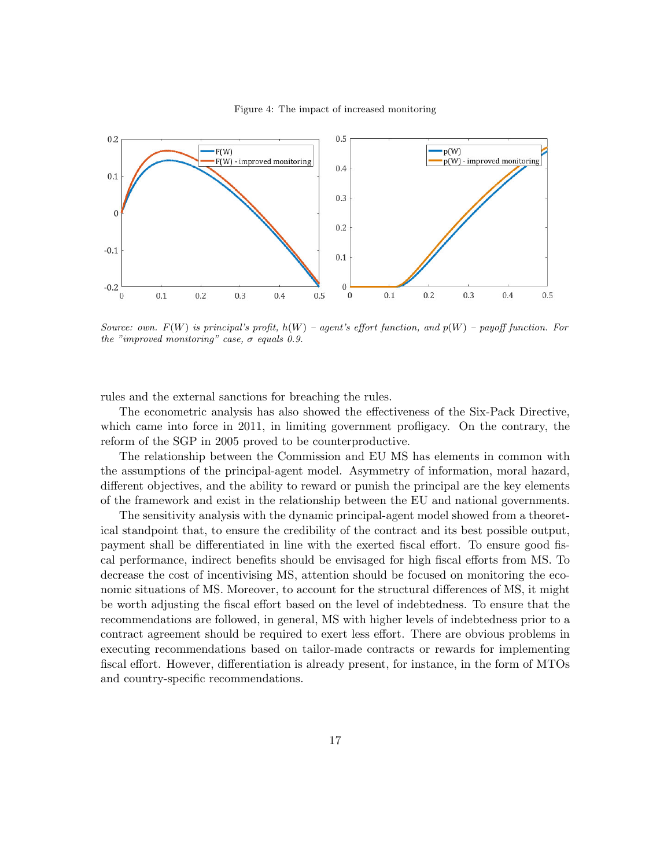#### Figure 4: The impact of increased monitoring



Source: own.  $F(W)$  is principal's profit,  $h(W)$  – agent's effort function, and  $p(W)$  – payoff function. For the "improved monitoring" case,  $\sigma$  equals 0.9.

rules and the external sanctions for breaching the rules.

The econometric analysis has also showed the effectiveness of the Six-Pack Directive, which came into force in 2011, in limiting government profligacy. On the contrary, the reform of the SGP in 2005 proved to be counterproductive.

The relationship between the Commission and EU MS has elements in common with the assumptions of the principal-agent model. Asymmetry of information, moral hazard, different objectives, and the ability to reward or punish the principal are the key elements of the framework and exist in the relationship between the EU and national governments.

The sensitivity analysis with the dynamic principal-agent model showed from a theoretical standpoint that, to ensure the credibility of the contract and its best possible output, payment shall be differentiated in line with the exerted fiscal effort. To ensure good fiscal performance, indirect benefits should be envisaged for high fiscal efforts from MS. To decrease the cost of incentivising MS, attention should be focused on monitoring the economic situations of MS. Moreover, to account for the structural differences of MS, it might be worth adjusting the fiscal effort based on the level of indebtedness. To ensure that the recommendations are followed, in general, MS with higher levels of indebtedness prior to a contract agreement should be required to exert less effort. There are obvious problems in executing recommendations based on tailor-made contracts or rewards for implementing fiscal effort. However, differentiation is already present, for instance, in the form of MTOs and country-specific recommendations.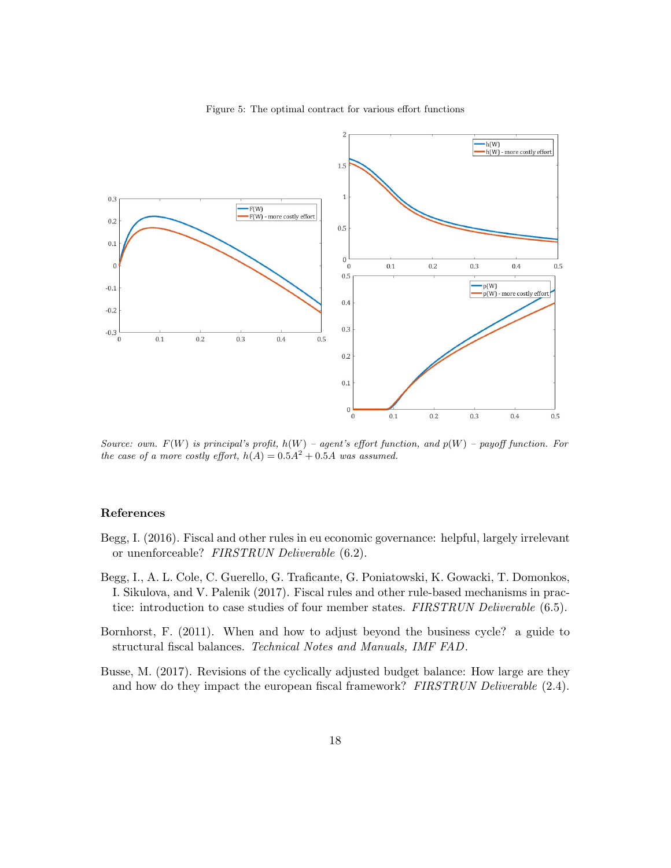



Source: own.  $F(W)$  is principal's profit,  $h(W)$  – agent's effort function, and  $p(W)$  – payoff function. For the case of a more costly effort,  $h(A) = 0.5A^2 + 0.5A$  was assumed.

#### References

- Begg, I. (2016). Fiscal and other rules in eu economic governance: helpful, largely irrelevant or unenforceable? FIRSTRUN Deliverable (6.2).
- Begg, I., A. L. Cole, C. Guerello, G. Traficante, G. Poniatowski, K. Gowacki, T. Domonkos, I. Sikulova, and V. Palenik (2017). Fiscal rules and other rule-based mechanisms in practice: introduction to case studies of four member states. FIRSTRUN Deliverable (6.5).
- Bornhorst, F. (2011). When and how to adjust beyond the business cycle? a guide to structural fiscal balances. Technical Notes and Manuals, IMF FAD.
- Busse, M. (2017). Revisions of the cyclically adjusted budget balance: How large are they and how do they impact the european fiscal framework? FIRSTRUN Deliverable (2.4).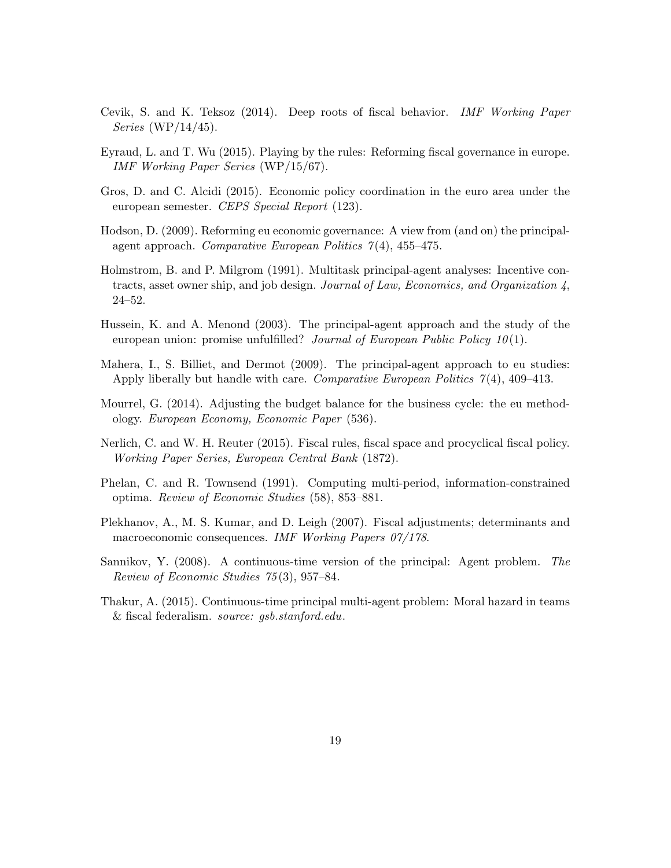- Cevik, S. and K. Teksoz (2014). Deep roots of fiscal behavior. IMF Working Paper Series (WP/14/45).
- Eyraud, L. and T. Wu (2015). Playing by the rules: Reforming fiscal governance in europe. IMF Working Paper Series (WP/15/67).
- Gros, D. and C. Alcidi (2015). Economic policy coordination in the euro area under the european semester. CEPS Special Report (123).
- Hodson, D. (2009). Reforming eu economic governance: A view from (and on) the principalagent approach. Comparative European Politics  $7(4)$ , 455-475.
- Holmstrom, B. and P. Milgrom (1991). Multitask principal-agent analyses: Incentive contracts, asset owner ship, and job design. Journal of Law, Economics, and Organization 4, 24–52.
- Hussein, K. and A. Menond (2003). The principal-agent approach and the study of the european union: promise unfulfilled? Journal of European Public Policy  $10(1)$ .
- Mahera, I., S. Billiet, and Dermot (2009). The principal-agent approach to eu studies: Apply liberally but handle with care. Comparative European Politics 7 (4), 409–413.
- Mourrel, G. (2014). Adjusting the budget balance for the business cycle: the eu methodology. European Economy, Economic Paper (536).
- Nerlich, C. and W. H. Reuter (2015). Fiscal rules, fiscal space and procyclical fiscal policy. Working Paper Series, European Central Bank (1872).
- Phelan, C. and R. Townsend (1991). Computing multi-period, information-constrained optima. Review of Economic Studies (58), 853–881.
- Plekhanov, A., M. S. Kumar, and D. Leigh (2007). Fiscal adjustments; determinants and macroeconomic consequences. IMF Working Papers 07/178.
- Sannikov, Y. (2008). A continuous-time version of the principal: Agent problem. The Review of Economic Studies 75 (3), 957–84.
- Thakur, A. (2015). Continuous-time principal multi-agent problem: Moral hazard in teams & fiscal federalism. source: gsb.stanford.edu.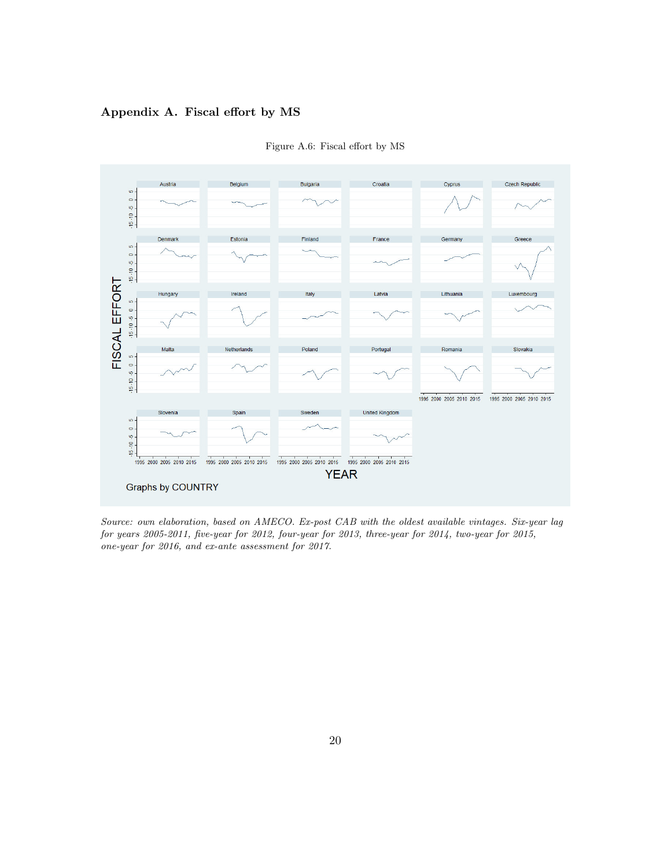#### Appendix A. Fiscal effort by MS



Figure A.6: Fiscal effort by MS

Source: own elaboration, based on AMECO. Ex-post CAB with the oldest available vintages. Six-year lag for years 2005-2011, five-year for 2012, four-year for 2013, three-year for 2014, two-year for 2015, one-year for 2016, and ex-ante assessment for 2017.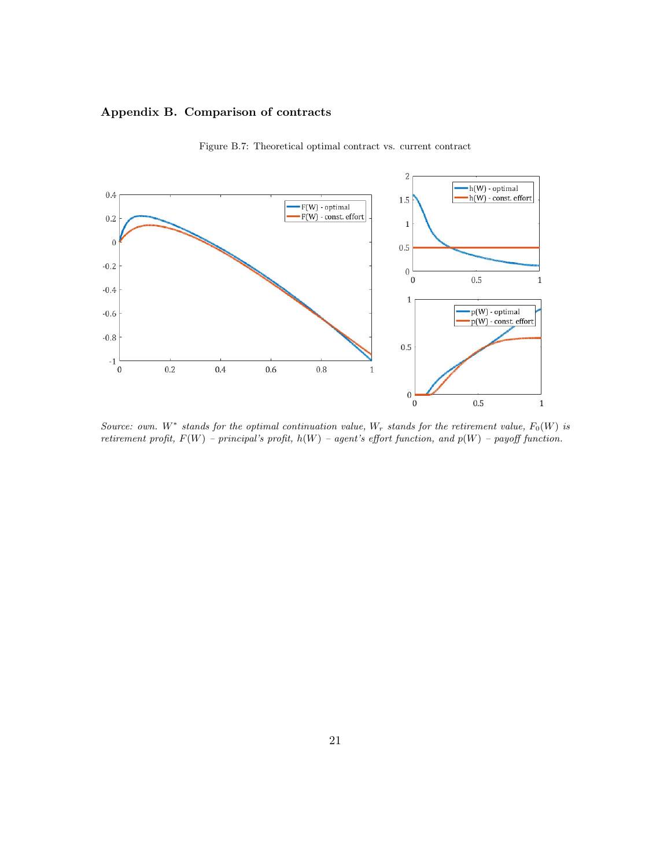#### Appendix B. Comparison of contracts



Figure B.7: Theoretical optimal contract vs. current contract

Source: own. W<sup>\*</sup> stands for the optimal continuation value, W<sub>r</sub> stands for the retirement value,  $F_0(W)$  is retirement profit,  $F(W)$  – principal's profit,  $h(W)$  – agent's effort function, and  $p(W)$  – payoff function.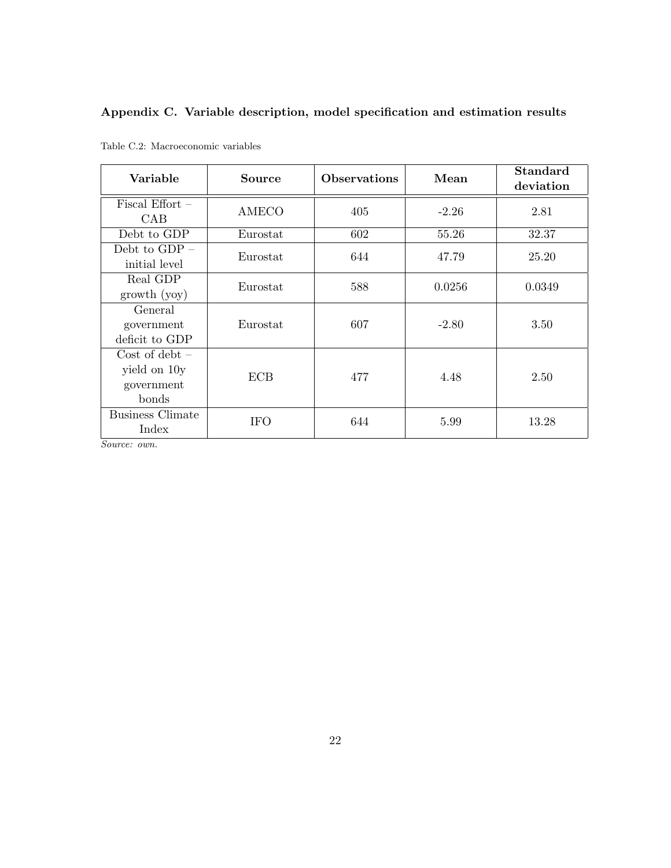## Appendix C. Variable description, model specification and estimation results

| Variable                                                | <b>Source</b> | <b>Observations</b> | Mean    | <b>Standard</b><br>deviation |
|---------------------------------------------------------|---------------|---------------------|---------|------------------------------|
| Fiscal Effort $-$<br>CAB                                | AMECO         | 405                 | $-2.26$ | 2.81                         |
| Debt to GDP                                             | Eurostat      | 602                 | 55.26   | 32.37                        |
| Debt to $GDP -$<br>initial level                        | Eurostat      | 644                 | 47.79   | 25.20                        |
| Real GDP<br>growth(yoy)                                 | Eurostat      | 588                 | 0.0256  | 0.0349                       |
| General<br>government<br>deficit to GDP                 | Eurostat      | 607                 | $-2.80$ | 3.50                         |
| $Cost of debt -$<br>yield on 10y<br>government<br>bonds | <b>ECB</b>    | 477                 | 4.48    | 2.50                         |
| <b>Business Climate</b><br>Index                        | <b>IFO</b>    | 644                 | 5.99    | 13.28                        |

|  | Table C.2: Macroeconomic variables |  |
|--|------------------------------------|--|
|--|------------------------------------|--|

Source: own.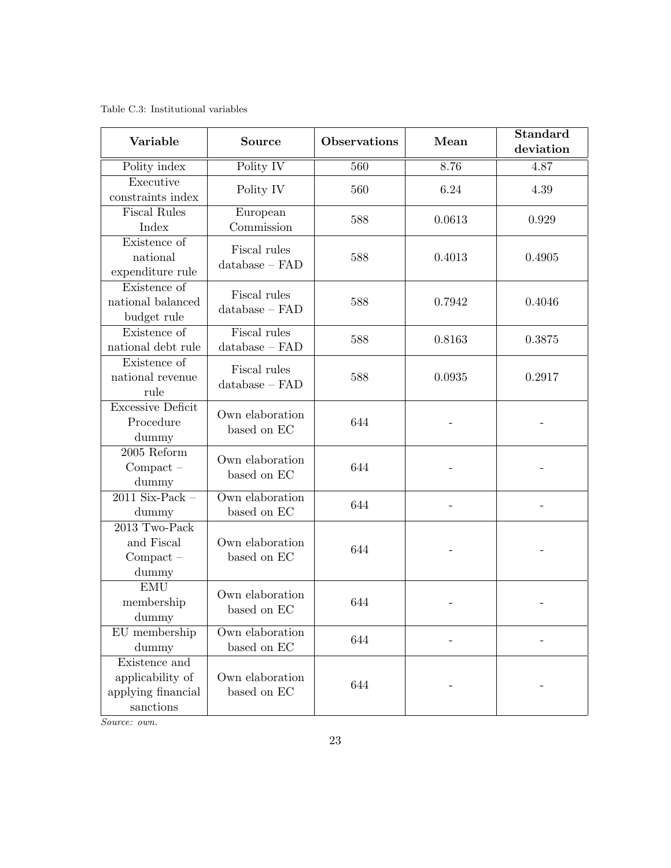Table C.3: Institutional variables

| Variable                                                             | <b>Observations</b><br><b>Source</b> |     | Mean   | <b>Standard</b><br>deviation |
|----------------------------------------------------------------------|--------------------------------------|-----|--------|------------------------------|
| Polity index                                                         | Polity IV                            | 560 | 8.76   | 4.87                         |
| Executive<br>constraints index                                       | Polity IV                            | 560 | 6.24   | 4.39                         |
| <b>Fiscal Rules</b><br>Index                                         | European<br>Commission               | 588 | 0.0613 | 0.929                        |
| Existence of<br>national<br>expenditure rule                         | Fiscal rules<br>$database - FAD$     | 588 | 0.4013 | 0.4905                       |
| Existence of<br>national balanced<br>budget rule                     | Fiscal rules<br>$database - FAD$     | 588 | 0.7942 | 0.4046                       |
| Existence of<br>national debt rule                                   | Fiscal rules<br>$database - FAD$     | 588 | 0.8163 | 0.3875                       |
| Existence of<br>national revenue<br>rule                             | Fiscal rules<br>$database - FAD$     | 588 | 0.0935 | 0.2917                       |
| <b>Excessive Deficit</b><br>Procedure<br>dummy                       | Own elaboration<br>based on EC       | 644 |        |                              |
| $2005$ Reform<br>$Compact -$<br>dummy                                | Own elaboration<br>based on EC       | 644 |        |                              |
| $2011$ Six-Pack -<br>dummy                                           | Own elaboration<br>based on EC       | 644 |        |                              |
| 2013 Two-Pack<br>and Fiscal<br>$Compact -$<br>dummy                  | Own elaboration<br>based on EC       | 644 |        |                              |
| <b>EMU</b><br>membership<br>dummy                                    | Own elaboration<br>based on EC       | 644 |        |                              |
| EU membership<br>dummy                                               | Own elaboration<br>based on EC       | 644 |        |                              |
| Existence and<br>applicability of<br>applying financial<br>sanctions | Own elaboration<br>based on EC       | 644 |        |                              |

Source: own.